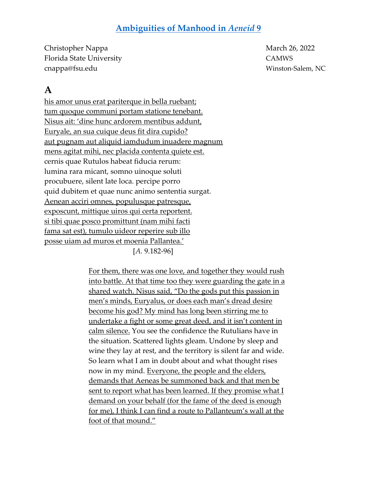#### **[Ambiguities of Manhood in](https://camws.org/sites/default/files/meeting2022/2596AmbiguitiesofManhood.pdf)** *Aeneid* **9**

Christopher Nappa March 26, 2022 Florida State University CAMWS cnappa@fsu.edu Winston-Salem, NC

## **A**

his amor unus erat pariterque in bella ruebant; tum quoque communi portam statione tenebant. Nisus ait: 'dine hunc ardorem mentibus addunt, Euryale, an sua cuique deus fit dira cupido? aut pugnam aut aliquid iamdudum inuadere magnum mens agitat mihi, nec placida contenta quiete est. cernis quae Rutulos habeat fiducia rerum: lumina rara micant, somno uinoque soluti procubuere, silent late loca. percipe porro quid dubitem et quae nunc animo sententia surgat. Aenean acciri omnes, populusque patresque, exposcunt, mittique uiros qui certa reportent. si tibi quae posco promittunt (nam mihi facti fama sat est), tumulo uideor reperire sub illo posse uiam ad muros et moenia Pallantea.'

[*A.* 9.182-96]

For them, there was one love, and together they would rush into battle. At that time too they were guarding the gate in a shared watch. Nisus said, "Do the gods put this passion in men's minds, Euryalus, or does each man's dread desire become his god? My mind has long been stirring me to undertake a fight or some great deed, and it isn't content in calm silence. You see the confidence the Rutulians have in the situation. Scattered lights gleam. Undone by sleep and wine they lay at rest, and the territory is silent far and wide. So learn what I am in doubt about and what thought rises now in my mind. Everyone, the people and the elders, demands that Aeneas be summoned back and that men be sent to report what has been learned. If they promise what I demand on your behalf (for the fame of the deed is enough for me), I think I can find a route to Pallanteum's wall at the foot of that mound."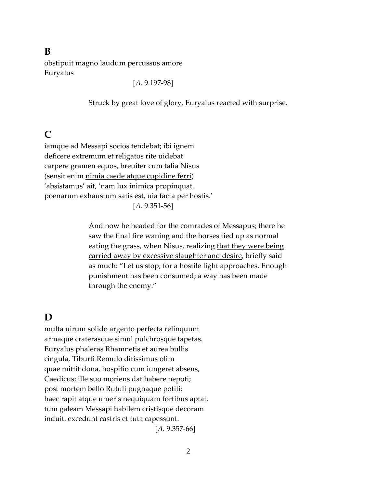#### **B**

obstipuit magno laudum percussus amore Euryalus

[*A.* 9.197-98]

Struck by great love of glory, Euryalus reacted with surprise.

### **C**

iamque ad Messapi socios tendebat; ibi ignem deficere extremum et religatos rite uidebat carpere gramen equos, breuiter cum talia Nisus (sensit enim nimia caede atque cupidine ferri) 'absistamus' ait, 'nam lux inimica propinquat. poenarum exhaustum satis est, uia facta per hostis.' [*A.* 9.351-56]

> And now he headed for the comrades of Messapus; there he saw the final fire waning and the horses tied up as normal eating the grass, when Nisus, realizing that they were being carried away by excessive slaughter and desire, briefly said as much: "Let us stop, for a hostile light approaches. Enough punishment has been consumed; a way has been made through the enemy."

## **D**

multa uirum solido argento perfecta relinquunt armaque craterasque simul pulchrosque tapetas. Euryalus phaleras Rhamnetis et aurea bullis cingula, Tiburti Remulo ditissimus olim quae mittit dona, hospitio cum iungeret absens, Caedicus; ille suo moriens dat habere nepoti; post mortem bello Rutuli pugnaque potiti: haec rapit atque umeris nequiquam fortibus aptat. tum galeam Messapi habilem cristisque decoram induit. excedunt castris et tuta capessunt.

[*A.* 9.357-66]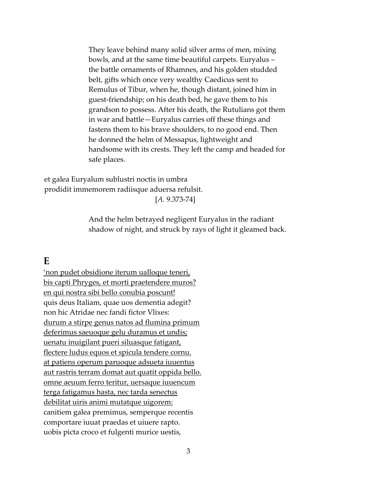They leave behind many solid silver arms of men, mixing bowls, and at the same time beautiful carpets. Euryalus – the battle ornaments of Rhamnes, and his golden studded belt, gifts which once very wealthy Caedicus sent to Remulus of Tibur, when he, though distant, joined him in guest-friendship; on his death bed, he gave them to his grandson to possess. After his death, the Rutulians got them in war and battle—Euryalus carries off these things and fastens them to his brave shoulders, to no good end. Then he donned the helm of Messapus, lightweight and handsome with its crests. They left the camp and headed for safe places.

et galea Euryalum sublustri noctis in umbra prodidit immemorem radiisque aduersa refulsit.

[*A.* 9.373-74]

And the helm betrayed negligent Euryalus in the radiant shadow of night, and struck by rays of light it gleamed back.

#### **E**

'non pudet obsidione iterum ualloque teneri, bis capti Phryges, et morti praetendere muros? en qui nostra sibi bello conubia poscunt! quis deus Italiam, quae uos dementia adegit? non hic Atridae nec fandi fictor Vlixes: durum a stirpe genus natos ad flumina primum deferimus saeuoque gelu duramus et undis; uenatu inuigilant pueri siluasque fatigant, flectere ludus equos et spicula tendere cornu. at patiens operum paruoque adsueta iuuentus aut rastris terram domat aut quatit oppida bello. omne aeuum ferro teritur, uersaque iuuencum terga fatigamus hasta, nec tarda senectus debilitat uiris animi mutatque uigorem: canitiem galea premimus, semperque recentis comportare iuuat praedas et uiuere rapto. uobis picta croco et fulgenti murice uestis,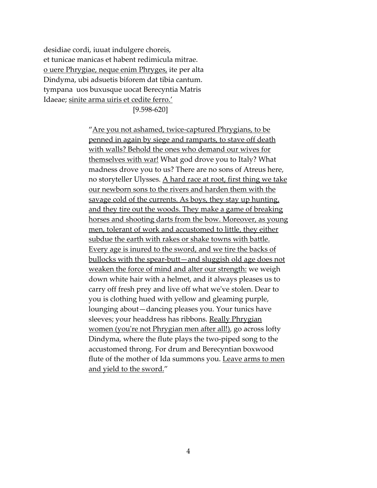desidiae cordi, iuuat indulgere choreis, et tunicae manicas et habent redimicula mitrae. o uere Phrygiae, neque enim Phryges, ite per alta Dindyma, ubi adsuetis biforem dat tibia cantum. tympana uos buxusque uocat Berecyntia Matris Idaeae; sinite arma uiris et cedite ferro.'

[9.598-620]

"Are you not ashamed, twice-captured Phrygians, to be penned in again by siege and ramparts, to stave off death with walls? Behold the ones who demand our wives for themselves with war! What god drove you to Italy? What madness drove you to us? There are no sons of Atreus here, no storyteller Ulysses. A hard race at root, first thing we take our newborn sons to the rivers and harden them with the savage cold of the currents. As boys, they stay up hunting, and they tire out the woods. They make a game of breaking horses and shooting darts from the bow. Moreover, as young men, tolerant of work and accustomed to little, they either subdue the earth with rakes or shake towns with battle. Every age is inured to the sword, and we tire the backs of bullocks with the spear-butt—and sluggish old age does not weaken the force of mind and alter our strength: we weigh down white hair with a helmet, and it always pleases us to carry off fresh prey and live off what we've stolen. Dear to you is clothing hued with yellow and gleaming purple, lounging about—dancing pleases you. Your tunics have sleeves; your headdress has ribbons. Really Phrygian women (you're not Phrygian men after all!), go across lofty Dindyma, where the flute plays the two-piped song to the accustomed throng. For drum and Berecyntian boxwood flute of the mother of Ida summons you. Leave arms to men and yield to the sword."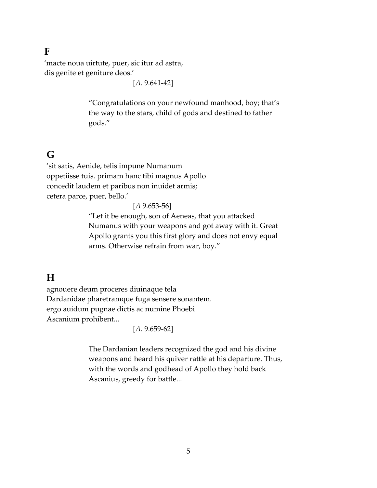#### **F**

'macte noua uirtute, puer, sic itur ad astra, dis genite et geniture deos.'

[*A.* 9.641-42]

"Congratulations on your newfound manhood, boy; that's the way to the stars, child of gods and destined to father gods."

## **G**

'sit satis, Aenide, telis impune Numanum oppetiisse tuis. primam hanc tibi magnus Apollo concedit laudem et paribus non inuidet armis; cetera parce, puer, bello.'

[*A* 9.653-56]

"Let it be enough, son of Aeneas, that you attacked Numanus with your weapons and got away with it. Great Apollo grants you this first glory and does not envy equal arms. Otherwise refrain from war, boy."

### **H**

agnouere deum proceres diuinaque tela Dardanidae pharetramque fuga sensere sonantem. ergo auidum pugnae dictis ac numine Phoebi Ascanium prohibent...

[*A.* 9.659-62]

The Dardanian leaders recognized the god and his divine weapons and heard his quiver rattle at his departure. Thus, with the words and godhead of Apollo they hold back Ascanius, greedy for battle...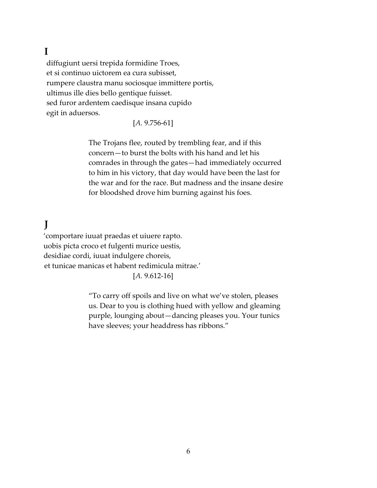## **I**

diffugiunt uersi trepida formidine Troes, et si continuo uictorem ea cura subisset, rumpere claustra manu sociosque immittere portis, ultimus ille dies bello gentique fuisset. sed furor ardentem caedisque insana cupido egit in aduersos.

#### [*A.* 9.756-61]

The Trojans flee, routed by trembling fear, and if this concern—to burst the bolts with his hand and let his comrades in through the gates—had immediately occurred to him in his victory, that day would have been the last for the war and for the race. But madness and the insane desire for bloodshed drove him burning against his foes.

# **J**

'comportare iuuat praedas et uiuere rapto. uobis picta croco et fulgenti murice uestis, desidiae cordi, iuuat indulgere choreis, et tunicae manicas et habent redimicula mitrae.' [*A.* 9.612-16]

> "To carry off spoils and live on what we've stolen, pleases us. Dear to you is clothing hued with yellow and gleaming purple, lounging about—dancing pleases you. Your tunics have sleeves; your headdress has ribbons."